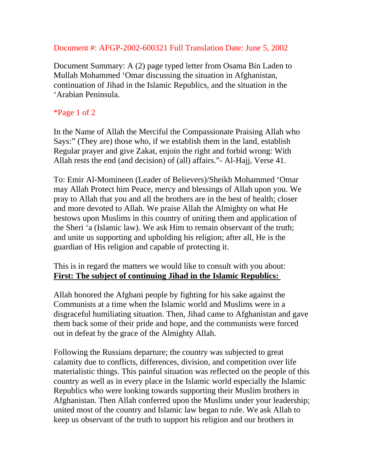## Document #: AFGP-2002-600321 Full Translation Date: June 5, 2002

Document Summary: A (2) page typed letter from Osama Bin Laden to Mullah Mohammed 'Omar discussing the situation in Afghanistan, continuation of Jihad in the Islamic Republics, and the situation in the 'Arabian Peninsula.

## \*Page 1 of 2

In the Name of Allah the Merciful the Compassionate Praising Allah who Says:" (They are) those who, if we establish them in the land, establish Regular prayer and give Zakat, enjoin the right and forbid wrong: With Allah rests the end (and decision) of (all) affairs."- Al-Hajj, Verse 41.

To: Emir Al-Momineen (Leader of Believers)/Sheikh Mohammed 'Omar may Allah Protect him Peace, mercy and blessings of Allah upon you. We pray to Allah that you and all the brothers are in the best of health; closer and more devoted to Allah. We praise Allah the Almighty on what He bestows upon Muslims in this country of uniting them and application of the Sheri 'a (Islamic law). We ask Him to remain observant of the truth; and unite us supporting and upholding his religion; after all, He is the guardian of His religion and capable of protecting it.

This is in regard the matters we would like to consult with you about: **First: The subject of continuing Jihad in the Islamic Republics:** 

Allah honored the Afghani people by fighting for his sake against the Communists at a time when the Islamic world and Muslims were in a disgraceful humiliating situation. Then, Jihad came to Afghanistan and gave them back some of their pride and hope, and the communists were forced out in defeat by the grace of the Almighty Allah.

Following the Russians departure; the country was subjected to great calamity due to conflicts, differences, division, and competition over life materialistic things. This painful situation was reflected on the people of this country as well as in every place in the Islamic world especially the Islamic Republics who were looking towards supporting their Muslim brothers in Afghanistan. Then Allah conferred upon the Muslims under your leadership; united most of the country and Islamic law began to rule. We ask Allah to keep us observant of the truth to support his religion and our brothers in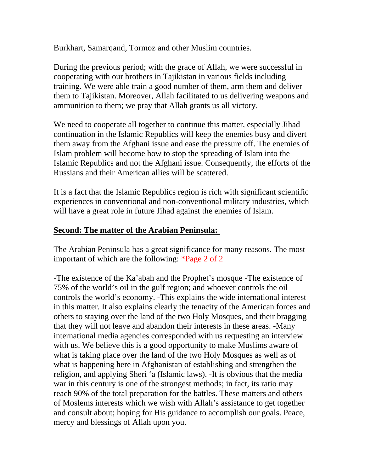Burkhart, Samarqand, Tormoz and other Muslim countries.

During the previous period; with the grace of Allah, we were successful in cooperating with our brothers in Tajikistan in various fields including training. We were able train a good number of them, arm them and deliver them to Tajikistan. Moreover, Allah facilitated to us delivering weapons and ammunition to them; we pray that Allah grants us all victory.

We need to cooperate all together to continue this matter, especially Jihad continuation in the Islamic Republics will keep the enemies busy and divert them away from the Afghani issue and ease the pressure off. The enemies of Islam problem will become how to stop the spreading of Islam into the Islamic Republics and not the Afghani issue. Consequently, the efforts of the Russians and their American allies will be scattered.

It is a fact that the Islamic Republics region is rich with significant scientific experiences in conventional and non-conventional military industries, which will have a great role in future Jihad against the enemies of Islam.

## **Second: The matter of the Arabian Peninsula:**

The Arabian Peninsula has a great significance for many reasons. The most important of which are the following: \*Page 2 of 2

-The existence of the Ka'abah and the Prophet's mosque -The existence of 75% of the world's oil in the gulf region; and whoever controls the oil controls the world's economy. -This explains the wide international interest in this matter. It also explains clearly the tenacity of the American forces and others to staying over the land of the two Holy Mosques, and their bragging that they will not leave and abandon their interests in these areas. -Many international media agencies corresponded with us requesting an interview with us. We believe this is a good opportunity to make Muslims aware of what is taking place over the land of the two Holy Mosques as well as of what is happening here in Afghanistan of establishing and strengthen the religion, and applying Sheri 'a (Islamic laws). -It is obvious that the media war in this century is one of the strongest methods; in fact, its ratio may reach 90% of the total preparation for the battles. These matters and others of Moslems interests which we wish with Allah's assistance to get together and consult about; hoping for His guidance to accomplish our goals. Peace, mercy and blessings of Allah upon you.